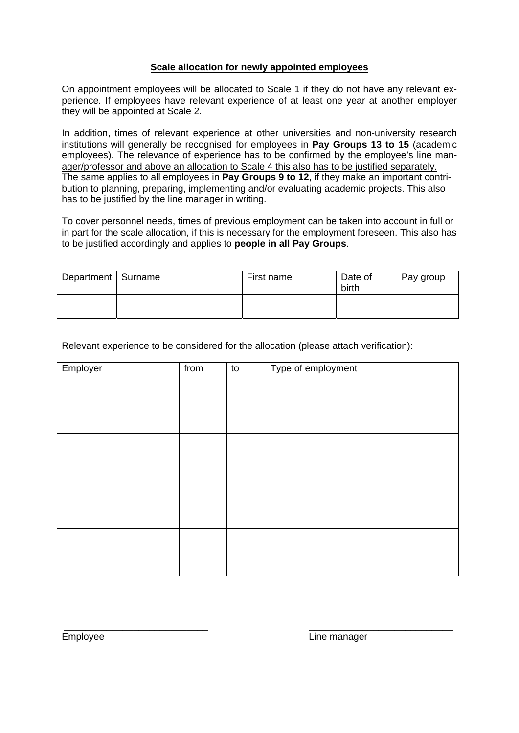## **Scale allocation for newly appointed employees**

On appointment employees will be allocated to Scale 1 if they do not have any relevant experience. If employees have relevant experience of at least one year at another employer they will be appointed at Scale 2.

In addition, times of relevant experience at other universities and non-university research institutions will generally be recognised for employees in **Pay Groups 13 to 15** (academic employees). The relevance of experience has to be confirmed by the employee's line manager/professor and above an allocation to Scale 4 this also has to be justified separately. The same applies to all employees in **Pay Groups 9 to 12**, if they make an important contribution to planning, preparing, implementing and/or evaluating academic projects. This also has to be justified by the line manager in writing.

To cover personnel needs, times of previous employment can be taken into account in full or in part for the scale allocation, if this is necessary for the employment foreseen. This also has to be justified accordingly and applies to **people in all Pay Groups**.

| Department   Surname | First name | Date of<br>birth | Pay group |
|----------------------|------------|------------------|-----------|
|                      |            |                  |           |

Relevant experience to be considered for the allocation (please attach verification):

| Employer | from | to | Type of employment |
|----------|------|----|--------------------|
|          |      |    |                    |
|          |      |    |                    |
|          |      |    |                    |
|          |      |    |                    |
|          |      |    |                    |
|          |      |    |                    |
|          |      |    |                    |
|          |      |    |                    |

\_\_\_\_\_\_\_\_\_\_\_\_\_\_\_\_\_\_\_\_\_\_\_\_\_\_\_ \_\_\_\_\_\_\_\_\_\_\_\_\_\_\_\_\_\_\_\_\_\_\_\_\_\_\_